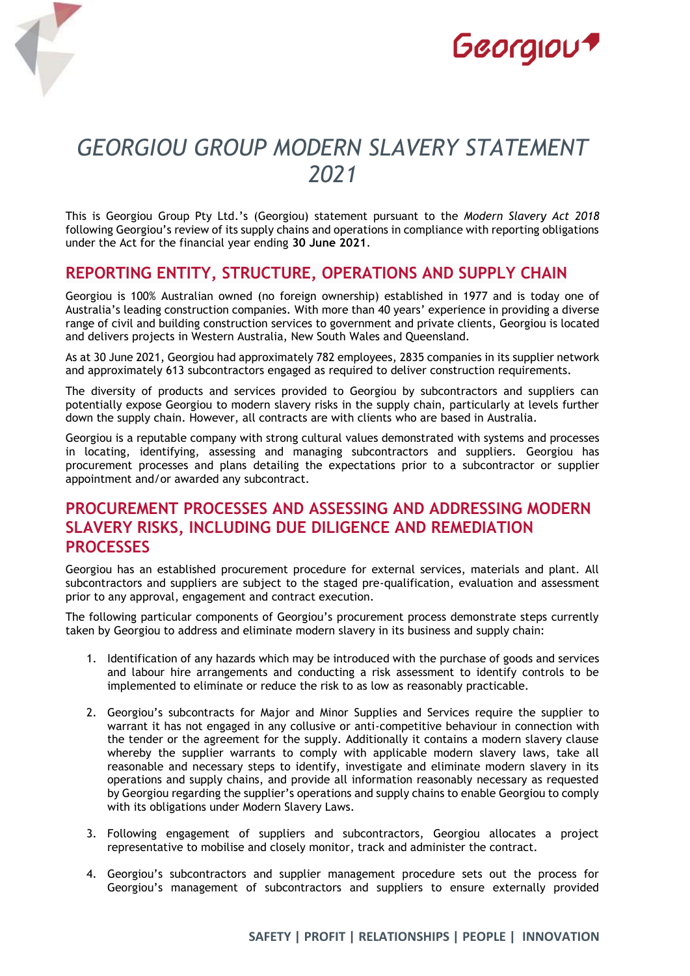



# *GEORGIOU GROUP MODERN SLAVERY STATEMENT 2021*

This is Georgiou Group Pty Ltd.'s (Georgiou) statement pursuant to the *Modern Slavery Act 2018* following Georgiou's review of its supply chains and operations in compliance with reporting obligations under the Act for the financial year ending **30 June 2021**.

## **REPORTING ENTITY, STRUCTURE, OPERATIONS AND SUPPLY CHAIN**

Georgiou is 100% Australian owned (no foreign ownership) established in 1977 and is today one of Australia's leading construction companies. With more than 40 years' experience in providing a diverse range of civil and building construction services to government and private clients, Georgiou is located and delivers projects in Western Australia, New South Wales and Queensland.

As at 30 June 2021, Georgiou had approximately 782 employees, 2835 companies in its supplier network and approximately 613 subcontractors engaged as required to deliver construction requirements.

The diversity of products and services provided to Georgiou by subcontractors and suppliers can potentially expose Georgiou to modern slavery risks in the supply chain, particularly at levels further down the supply chain. However, all contracts are with clients who are based in Australia.

Georgiou is a reputable company with strong cultural values demonstrated with systems and processes in locating, identifying, assessing and managing subcontractors and suppliers. Georgiou has procurement processes and plans detailing the expectations prior to a subcontractor or supplier appointment and/or awarded any subcontract.

## **PROCUREMENT PROCESSES AND ASSESSING AND ADDRESSING MODERN SLAVERY RISKS, INCLUDING DUE DILIGENCE AND REMEDIATION PROCESSES**

Georgiou has an established procurement procedure for external services, materials and plant. All subcontractors and suppliers are subject to the staged pre-qualification, evaluation and assessment prior to any approval, engagement and contract execution.

The following particular components of Georgiou's procurement process demonstrate steps currently taken by Georgiou to address and eliminate modern slavery in its business and supply chain:

- 1. Identification of any hazards which may be introduced with the purchase of goods and services and labour hire arrangements and conducting a risk assessment to identify controls to be implemented to eliminate or reduce the risk to as low as reasonably practicable.
- 2. Georgiou's subcontracts for Major and Minor Supplies and Services require the supplier to warrant it has not engaged in any collusive or anti-competitive behaviour in connection with the tender or the agreement for the supply. Additionally it contains a modern slavery clause whereby the supplier warrants to comply with applicable modern slavery laws, take all reasonable and necessary steps to identify, investigate and eliminate modern slavery in its operations and supply chains, and provide all information reasonably necessary as requested by Georgiou regarding the supplier's operations and supply chains to enable Georgiou to comply with its obligations under Modern Slavery Laws.
- 3. Following engagement of suppliers and subcontractors, Georgiou allocates a project representative to mobilise and closely monitor, track and administer the contract.
- 4. Georgiou's subcontractors and supplier management procedure sets out the process for Georgiou's management of subcontractors and suppliers to ensure externally provided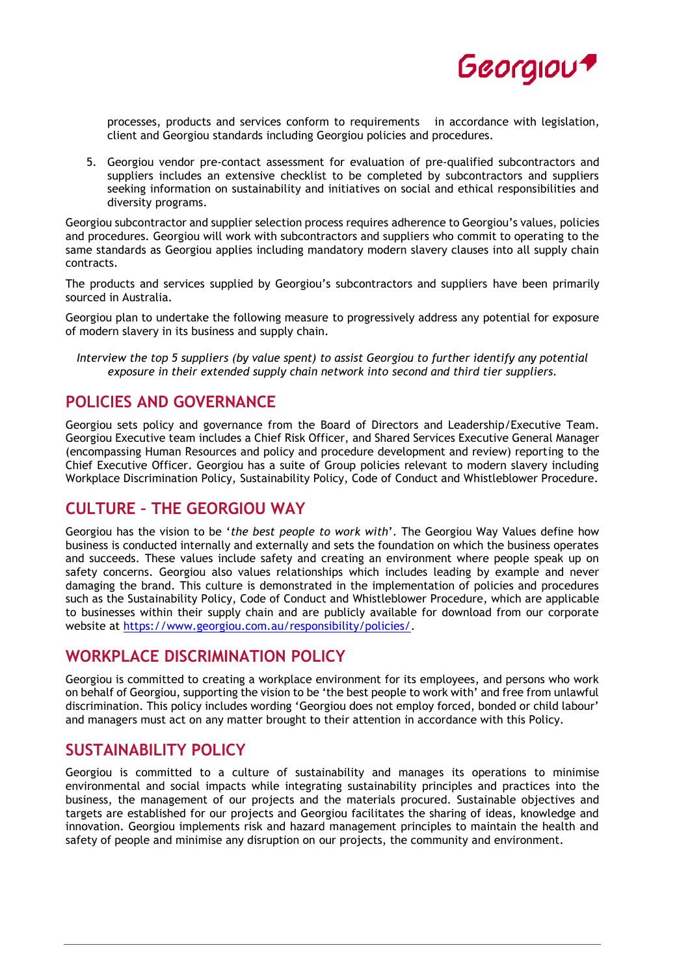

processes, products and services conform to requirements in accordance with legislation, client and Georgiou standards including Georgiou policies and procedures.

5. Georgiou vendor pre-contact assessment for evaluation of pre-qualified subcontractors and suppliers includes an extensive checklist to be completed by subcontractors and suppliers seeking information on sustainability and initiatives on social and ethical responsibilities and diversity programs.

Georgiou subcontractor and supplier selection process requires adherence to Georgiou's values, policies and procedures. Georgiou will work with subcontractors and suppliers who commit to operating to the same standards as Georgiou applies including mandatory modern slavery clauses into all supply chain contracts.

The products and services supplied by Georgiou's subcontractors and suppliers have been primarily sourced in Australia.

Georgiou plan to undertake the following measure to progressively address any potential for exposure of modern slavery in its business and supply chain.

*Interview the top 5 suppliers (by value spent) to assist Georgiou to further identify any potential exposure in their extended supply chain network into second and third tier suppliers.*

## **POLICIES AND GOVERNANCE**

Georgiou sets policy and governance from the Board of Directors and Leadership/Executive Team. Georgiou Executive team includes a Chief Risk Officer, and Shared Services Executive General Manager (encompassing Human Resources and policy and procedure development and review) reporting to the Chief Executive Officer. Georgiou has a suite of Group policies relevant to modern slavery including Workplace Discrimination Policy, Sustainability Policy, Code of Conduct and Whistleblower Procedure.

#### **CULTURE – THE GEORGIOU WAY**

Georgiou has the vision to be '*the best people to work with*'. The Georgiou Way Values define how business is conducted internally and externally and sets the foundation on which the business operates and succeeds. These values include safety and creating an environment where people speak up on safety concerns. Georgiou also values relationships which includes leading by example and never damaging the brand. This culture is demonstrated in the implementation of policies and procedures such as the Sustainability Policy, Code of Conduct and Whistleblower Procedure, which are applicable to businesses within their supply chain and are publicly available for download from our corporate website at [https://www.georgiou.com.au/responsibility/policies/.](https://www.georgiou.com.au/responsibility/policies/)

#### **WORKPLACE DISCRIMINATION POLICY**

Georgiou is committed to creating a workplace environment for its employees, and persons who work on behalf of Georgiou, supporting the vision to be 'the best people to work with' and free from unlawful discrimination. This policy includes wording 'Georgiou does not employ forced, bonded or child labour' and managers must act on any matter brought to their attention in accordance with this Policy.

#### **SUSTAINABILITY POLICY**

Georgiou is committed to a culture of sustainability and manages its operations to minimise environmental and social impacts while integrating sustainability principles and practices into the business, the management of our projects and the materials procured. Sustainable objectives and targets are established for our projects and Georgiou facilitates the sharing of ideas, knowledge and innovation. Georgiou implements risk and hazard management principles to maintain the health and safety of people and minimise any disruption on our projects, the community and environment.